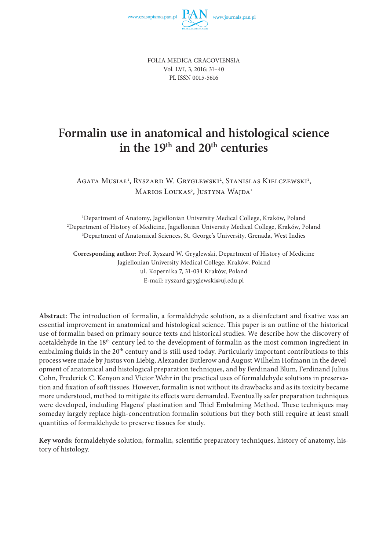FOLIA MEDICA CRACOVIENSIA Vol. LVI, 3, 2016: 31–40 PL ISSN 0015-5616

# **Formalin use in anatomical and histological science** in the 19<sup>th</sup> and 20<sup>th</sup> centuries

Agata Musiał<sup>1</sup>, Ryszard W. Gryglewski<sup>2</sup>, Stanislas Kielczewski<sup>1</sup>, Marios Loukas<sup>3</sup>, Justyna Wajda<sup>1</sup>

1 Department of Anatomy, Jagiellonian University Medical College, Kraków, Poland 2 Department of History of Medicine, Jagiellonian University Medical College, Kraków, Poland 3 Department of Anatomical Sciences, St. George's University, Grenada, West Indies

**Corresponding author:** Prof. Ryszard W. Gryglewski, Department of History of Medicine Jagiellonian University Medical College, Kraków, Poland ul. Kopernika 7, 31-034 Kraków, Poland E-mail: ryszard.gryglewski@uj.edu.pl

Abstract: The introduction of formalin, a formaldehyde solution, as a disinfectant and fixative was an essential improvement in anatomical and histological science. This paper is an outline of the historical use of formalin based on primary source texts and historical studies. We describe how the discovery of acetaldehyde in the 18<sup>th</sup> century led to the development of formalin as the most common ingredient in embalming fluids in the 20<sup>th</sup> century and is still used today. Particularly important contributions to this process were made by Justus von Liebig, Alexander Butlerow and August Wilhelm Hofmann in the development of anatomical and histological preparation techniques, and by Ferdinand Blum, Ferdinand Julius Cohn, Frederick C. Kenyon and Victor Wehr in the practical uses of formaldehyde solutions in preservation and fixation of soft tissues. However, formalin is not without its drawbacks and as its toxicity became more understood, method to mitigate its effects were demanded. Eventually safer preparation techniques were developed, including Hagens' plastination and Thiel Embalming Method. These techniques may someday largely replace high-concentration formalin solutions but they both still require at least small quantities of formaldehyde to preserve tissues for study.

Key words: formaldehyde solution, formalin, scientific preparatory techniques, history of anatomy, history of histology.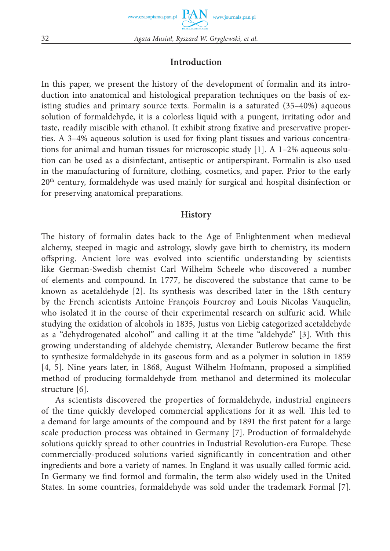## **Introduction**

In this paper, we present the history of the development of formalin and its introduction into anatomical and histological preparation techniques on the basis of existing studies and primary source texts. Formalin is a saturated (35–40%) aqueous solution of formaldehyde, it is a colorless liquid with a pungent, irritating odor and taste, readily miscible with ethanol. It exhibit strong fixative and preservative properties. A  $3-4\%$  aqueous solution is used for fixing plant tissues and various concentrations for animal and human tissues for microscopic study [1]. A 1–2% aqueous solution can be used as a disinfectant, antiseptic or antiperspirant. Formalin is also used in the manufacturing of furniture, clothing, cosmetics, and paper. Prior to the early  $20<sup>th</sup>$  century, formaldehyde was used mainly for surgical and hospital disinfection or for preserving anatomical preparations.

#### **History**

The history of formalin dates back to the Age of Enlightenment when medieval alchemy, steeped in magic and astrology, slowly gave birth to chemistry, its modern offspring. Ancient lore was evolved into scientific understanding by scientists like German-Swedish chemist Carl Wilhelm Scheele who discovered a number of elements and compound. In 1777, he discovered the substance that came to be known as acetaldehyde [2]. Its synthesis was described later in the 18th century by the French scientists Antoine François Fourcroy and Louis Nicolas Vauquelin, who isolated it in the course of their experimental research on sulfuric acid. While studying the oxidation of alcohols in 1835, Justus von Liebig categorized acetaldehyde as a "dehydrogenated alcohol" and calling it at the time "aldehyde" [3]. With this growing understanding of aldehyde chemistry, Alexander Butlerow became the first to synthesize formaldehyde in its gaseous form and as a polymer in solution in 1859 [4, 5]. Nine years later, in 1868, August Wilhelm Hofmann, proposed a simplified method of producing formaldehyde from methanol and determined its molecular structure [6].

As scientists discovered the properties of formaldehyde, industrial engineers of the time quickly developed commercial applications for it as well. This led to a demand for large amounts of the compound and by 1891 the first patent for a large scale production process was obtained in Germany [7]. Production of formaldehyde solutions quickly spread to other countries in Industrial Revolution-era Europe. These commercially-produced solutions varied significantly in concentration and other ingredients and bore a variety of names. In England it was usually called formic acid. In Germany we find formol and formalin, the term also widely used in the United States. In some countries, formaldehyde was sold under the trademark Formal [7].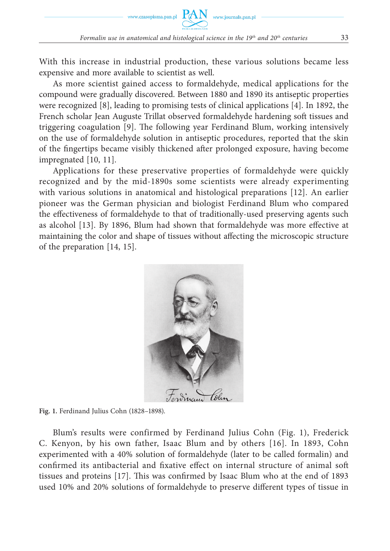With this increase in industrial production, these various solutions became less expensive and more available to scientist as well.

As more scientist gained access to formaldehyde, medical applications for the compound were gradually discovered. Between 1880 and 1890 its antiseptic properties were recognized [8], leading to promising tests of clinical applications [4]. In 1892, the French scholar Jean Auguste Trillat observed formaldehyde hardening soft tissues and triggering coagulation [9]. The following year Ferdinand Blum, working intensively on the use of formaldehyde solution in antiseptic procedures, reported that the skin of the fingertips became visibly thickened after prolonged exposure, having become impregnated [10, 11].

Applications for these preservative properties of formaldehyde were quickly recognized and by the mid-1890s some scientists were already experimenting with various solutions in anatomical and histological preparations [12]. An earlier pioneer was the German physician and biologist Ferdinand Blum who compared the effectiveness of formaldehyde to that of traditionally-used preserving agents such as alcohol [13]. By 1896, Blum had shown that formaldehyde was more effective at maintaining the color and shape of tissues without affecting the microscopic structure of the preparation [14, 15].



**Fig. 1.** Ferdinand Julius Cohn (1828–1898).

Blum's results were confirmed by Ferdinand Julius Cohn (Fig. 1), Frederick C. Kenyon, by his own father, Isaac Blum and by others [16]. In 1893, Cohn experimented with a 40% solution of formaldehyde (later to be called formalin) and confirmed its antibacterial and fixative effect on internal structure of animal soft tissues and proteins  $[17]$ . This was confirmed by Isaac Blum who at the end of 1893 used 10% and 20% solutions of formaldehyde to preserve different types of tissue in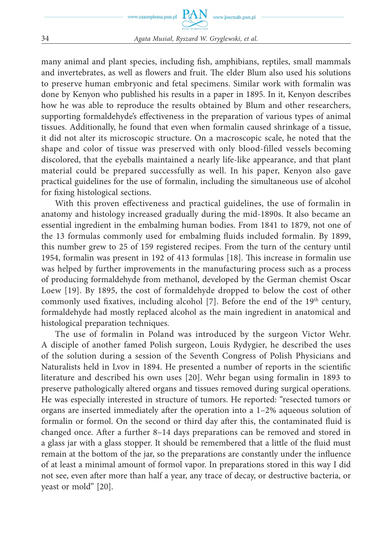

many animal and plant species, including fish, amphibians, reptiles, small mammals and invertebrates, as well as flowers and fruit. The elder Blum also used his solutions to preserve human embryonic and fetal specimens. Similar work with formalin was done by Kenyon who published his results in a paper in 1895. In it, Kenyon describes how he was able to reproduce the results obtained by Blum and other researchers, supporting formaldehyde's effectiveness in the preparation of various types of animal tissues. Additionally, he found that even when formalin caused shrinkage of a tissue, it did not alter its microscopic structure. On a macroscopic scale, he noted that the shape and color of tissue was preserved with only blood-filled vessels becoming discolored, that the eyeballs maintained a nearly life-like appearance, and that plant material could be prepared successfully as well. In his paper, Kenyon also gave practical guidelines for the use of formalin, including the simultaneous use of alcohol for fixing histological sections.

With this proven effectiveness and practical guidelines, the use of formalin in anatomy and histology increased gradually during the mid-1890s. It also became an essential ingredient in the embalming human bodies. From 1841 to 1879, not one of the 13 formulas commonly used for embalming fluids included formalin. By 1899, this number grew to 25 of 159 registered recipes. From the turn of the century until 1954, formalin was present in 192 of 413 formulas [18]. This increase in formalin use was helped by further improvements in the manufacturing process such as a process of producing formaldehyde from methanol, developed by the German chemist Oscar Loew [19]. By 1895, the cost of formaldehyde dropped to below the cost of other commonly used fixatives, including alcohol [7]. Before the end of the  $19<sup>th</sup>$  century, formaldehyde had mostly replaced alcohol as the main ingredient in anatomical and histological preparation techniques.

The use of formalin in Poland was introduced by the surgeon Victor Wehr. A disciple of another famed Polish surgeon, Louis Rydygier, he described the uses of the solution during a session of the Seventh Congress of Polish Physicians and Naturalists held in Lvov in 1894. He presented a number of reports in the scientific literature and described his own uses [20]. Wehr began using formalin in 1893 to preserve pathologically altered organs and tissues removed during surgical operations. He was especially interested in structure of tumors. He reported: "resected tumors or organs are inserted immediately after the operation into a  $1-2%$  aqueous solution of formalin or formol. On the second or third day after this, the contaminated fluid is changed once. After a further 8–14 days preparations can be removed and stored in a glass jar with a glass stopper. It should be remembered that a little of the fluid must remain at the bottom of the jar, so the preparations are constantly under the influence of at least a minimal amount of formol vapor. In preparations stored in this way I did not see, even after more than half a year, any trace of decay, or destructive bacteria, or yeast or mold" [20].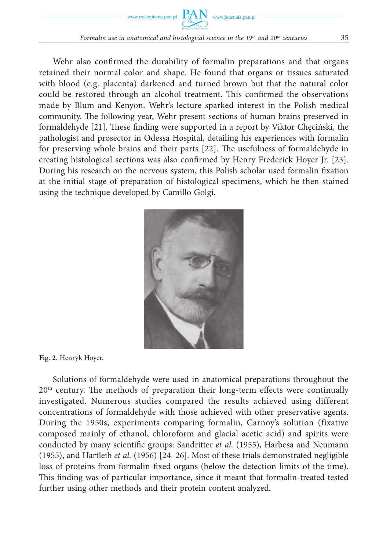

Wehr also confirmed the durability of formalin preparations and that organs retained their normal color and shape. He found that organs or tissues saturated with blood (e.g. placenta) darkened and turned brown but that the natural color could be restored through an alcohol treatment. This confirmed the observations made by Blum and Kenyon. Wehr's lecture sparked interest in the Polish medical community. The following year, Wehr present sections of human brains preserved in formaldehyde [21]. These finding were supported in a report by Viktor Checiński, the pathologist and prosector in Odessa Hospital, detailing his experiences with formalin for preserving whole brains and their parts [22]. The usefulness of formaldehyde in creating histological sections was also confirmed by Henry Frederick Hoyer Jr. [23]. During his research on the nervous system, this Polish scholar used formalin fixation at the initial stage of preparation of histological specimens, which he then stained using the technique developed by Camillo Golgi.



**Fig. 2.** Henryk Hoyer.

Solutions of formaldehyde were used in anatomical preparations throughout the  $20<sup>th</sup>$  century. The methods of preparation their long-term effects were continually investigated. Numerous studies compared the results achieved using different concentrations of formaldehyde with those achieved with other preservative agents. During the 1950s, experiments comparing formalin, Carnoy's solution (fixative composed mainly of ethanol, chloroform and glacial acetic acid) and spirits were conducted by many scientific groups: Sandritter *et al.* (1955), Harbesa and Neumann (1955), and Hartleib *et al.* (1956) [24–26]. Most of these trials demonstrated negligible loss of proteins from formalin-fixed organs (below the detection limits of the time). This finding was of particular importance, since it meant that formalin-treated tested further using other methods and their protein content analyzed.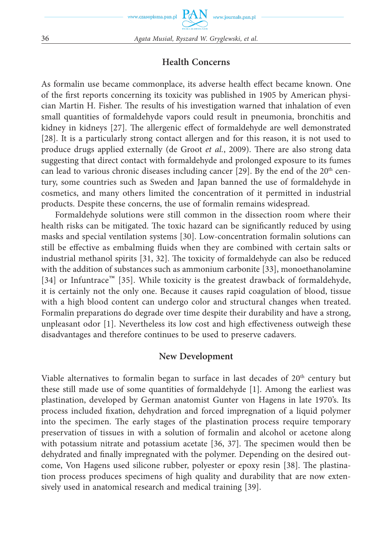# **Health Concerns**

As formalin use became commonplace, its adverse health effect became known. One of the first reports concerning its toxicity was published in 1905 by American physician Martin H. Fisher. The results of his investigation warned that inhalation of even small quantities of formaldehyde vapors could result in pneumonia, bronchitis and kidney in kidneys [27]. The allergenic effect of formaldehyde are well demonstrated [28]. It is a particularly strong contact allergen and for this reason, it is not used to produce drugs applied externally (de Groot *et al.*, 2009). There are also strong data suggesting that direct contact with formaldehyde and prolonged exposure to its fumes can lead to various chronic diseases including cancer [29]. By the end of the  $20<sup>th</sup>$  century, some countries such as Sweden and Japan banned the use of formaldehyde in cosmetics, and many others limited the concentration of it permitted in industrial products. Despite these concerns, the use of formalin remains widespread.

Formaldehyde solutions were still common in the dissection room where their health risks can be mitigated. The toxic hazard can be significantly reduced by using masks and special ventilation systems [30]. Low-concentration formalin solutions can still be effective as embalming fluids when they are combined with certain salts or industrial methanol spirits  $[31, 32]$ . The toxicity of formaldehyde can also be reduced with the addition of substances such as ammonium carbonite [33], monoethanolamine [34] or Infuntrace™ [35]. While toxicity is the greatest drawback of formaldehyde, it is certainly not the only one. Because it causes rapid coagulation of blood, tissue with a high blood content can undergo color and structural changes when treated. Formalin preparations do degrade over time despite their durability and have a strong, unpleasant odor  $[1]$ . Nevertheless its low cost and high effectiveness outweigh these disadvantages and therefore continues to be used to preserve cadavers.

### **New Development**

Viable alternatives to formalin began to surface in last decades of 20<sup>th</sup> century but these still made use of some quantities of formaldehyde [1]. Among the earliest was plastination, developed by German anatomist Gunter von Hagens in late 1970's. Its process included fixation, dehydration and forced impregnation of a liquid polymer into the specimen. The early stages of the plastination process require temporary preservation of tissues in with a solution of formalin and alcohol or acetone along with potassium nitrate and potassium acetate  $[36, 37]$ . The specimen would then be dehydrated and finally impregnated with the polymer. Depending on the desired outcome, Von Hagens used silicone rubber, polyester or epoxy resin [38]. The plastination process produces specimens of high quality and durability that are now extensively used in anatomical research and medical training [39].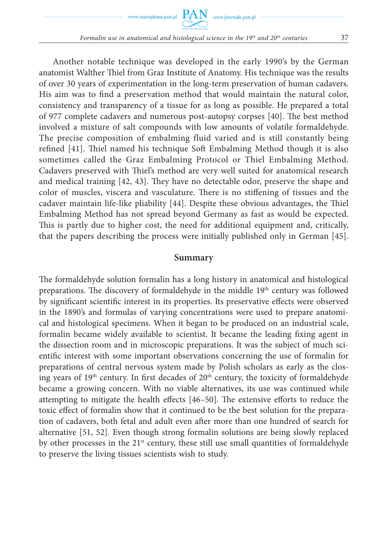

Another notable technique was developed in the early 1990's by the German anatomist Walther Thiel from Graz Institute of Anatomy. His technique was the results of over 30 years of experimentation in the long-term preservation of human cadavers. His aim was to find a preservation method that would maintain the natural color, consistency and transparency of a tissue for as long as possible. He prepared a total of 977 complete cadavers and numerous post-autopsy corpses [40]. The best method involved a mixture of salt compounds with low amounts of volatile formaldehyde. The precise composition of embalming fluid varied and is still constantly being refined [41]. Thiel named his technique Soft Embalming Method though it is also sometimes called the Graz Embalming Protocol or Thiel Embalming Method. Cadavers preserved with Thiel's method are very well suited for anatomical research and medical training [42, 43]. They have no detectable odor, preserve the shape and color of muscles, viscera and vasculature. There is no stiffening of tissues and the cadaver maintain life-like pliability [44]. Despite these obvious advantages, the Thiel Embalming Method has not spread beyond Germany as fast as would be expected. This is partly due to higher cost, the need for additional equipment and, critically, that the papers describing the process were initially published only in German [45].

#### **Summary**

The formaldehyde solution formalin has a long history in anatomical and histological preparations. The discovery of formaldehyde in the middle 19<sup>th</sup> century was followed by significant scientific interest in its properties. Its preservative effects were observed in the 1890's and formulas of varying concentrations were used to prepare anatomical and histological specimens. When it began to be produced on an industrial scale, formalin became widely available to scientist. It became the leading fixing agent in the dissection room and in microscopic preparations. It was the subject of much scientific interest with some important observations concerning the use of formalin for preparations of central nervous system made by Polish scholars as early as the closing years of  $19<sup>th</sup>$  century. In first decades of  $20<sup>th</sup>$  century, the toxicity of formaldehyde became a growing concern. With no viable alternatives, its use was continued while attempting to mitigate the health effects  $[46–50]$ . The extensive efforts to reduce the toxic effect of formalin show that it continued to be the best solution for the preparation of cadavers, both fetal and adult even after more than one hundred of search for alternative [51, 52]. Even though strong formalin solutions are being slowly replaced by other processes in the  $21<sup>st</sup>$  century, these still use small quantities of formaldehyde to preserve the living tissues scientists wish to study.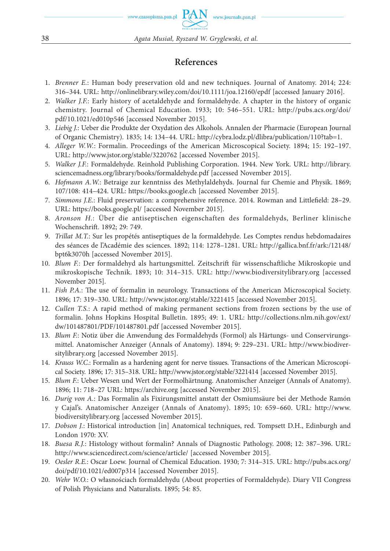## **References**

- 1. *Brenner E.*: Human body preservation old and new techniques. Journal of Anatomy. 2014; 224: 316–344. URL: http://onlinelibrary.wiley.com/doi/10.1111/joa.12160/epdf [accessed January 2016].
- 2. *Walker J.F.*: Early history of acetaldehyde and formaldehyde. A chapter in the history of organic chemistry. Journal of Chemical Education. 1933; 10: 546–551. URL: http://pubs.acs.org/doi/ pdf/10.1021/ed010p546 [accessed November 2015].
- 3. *Liebig J.*: Ueber die Produkte der Oxydation des Alkohols. Annalen der Pharmacie (European Journal of Organic Chemistry). 1835; 14: 134–44. URL: http://cybra.lodz.pl/dlibra/publication/110?tab=1.
- 4. *Alleger W.W.*: Formalin. Proceedings of the American Microscopical Society. 1894; 15: 192–197. URL: http://www.jstor.org/stable/3220762 [accessed November 2015].
- 5. *Walker J.F.*: Formaldehyde. Reinhold Publishing Corporation. 1944. New York. URL: http://library. sciencemadness.org/library/books/formaldehyde.pdf [accessed November 2015].
- 6. *Hofmann A.W.*: Betraige zur kenntniss des Methylaldehyds. Journal fur Chemie and Physik. 1869; 107/108: 414–424. URL: https://books.google.ch [accessed November 2015].
- 7. *Simmons J.E.*: Fluid preservation: a comprehensive reference. 2014. Rowman and Littlefield: 28-29. URL: https://books.google.pl/ [accessed November 2015].
- 8. *Aronson H.*: Über die antiseptischen eigenschaften des formaldehyds, Berliner klinische Wochenschrift. 1892; 29: 749.
- 9. *Trillat M.T.*: Sur les propétés antiseptiques de la formaldehyde. Les Comptes rendus hebdomadaires des séances de l'Académie des sciences. 1892; 114: 1278–1281. URL: http://gallica.bnf.fr/ark:/12148/ bpt6k3070h [accessed November 2015].
- 10. Blum F.: Der formaldehyd als hartungsmittel. Zeitschrift für wissenschaftliche Mikroskopie und mikroskopische Technik. 1893; 10: 314–315. URL: http://www.biodiversitylibrary.org [accessed November 2015].
- 11. *Fish P.A.*: The use of formalin in neurology. Transactions of the American Microscopical Society. 1896; 17: 319–330. URL: http://www.jstor.org/stable/3221415 [accessed November 2015].
- 12. *Cullen T.S.*: A rapid method of making permanent sections from frozen sections by the use of formalin. Johns Hopkins Hospital Bulletin. 1895; 49: 1. URL: http://collections.nlm.nih.gov/ext/ dw/101487801/PDF/101487801.pdf [accessed November 2015].
- 13. *Blum F.*: Notiz über die Anwendung des Formaldehyds (Formol) als Härtungs- und Conservirungsmittel. Anatomischer Anzeiger (Annals of Anatomy). 1894; 9: 229–231. URL: http://www.biodiversitylibrary.org [accessed November 2015].
- 14. *Krauss W.C.*: Formalin as a hardening agent for nerve tissues. Transactions of the American Microscopical Society. 1896; 17: 315–318. URL: http://www.jstor.org/stable/3221414 [accessed November 2015].
- 15. *Blum F.*: Ueber Wesen und Wert der Formolhärtnung. Anatomischer Anzeiger (Annals of Anatomy). 1896; 11: 718–27 URL: https://archive.org [accessed November 2015].
- 16. *Durig von A.*: Das Formalin als Fixirungsmittel anstatt der Osmiumsäure bei der Methode Ramón y Cajal's. Anatomischer Anzeiger (Annals of Anatomy). 1895; 10: 659–660. URL: http://www. biodiversitylibrary.org [accessed November 2015].
- 17. *Dobson J.*: Historical introduction [in] Anatomical techniques, red. Tompsett D.H., Edinburgh and London 1970: XV.
- 18. *Buesa R.J.*: Histology without formalin? Annals of Diagnostic Pathology. 2008; 12: 387–396. URL: http://www.sciencedirect.com/science/article/ [accessed November 2015].
- 19. *Oesler R.E.*: Oscar Loew. Journal of Chemical Education. 1930; 7: 314–315. URL: http://pubs.acs.org/ doi/pdf/10.1021/ed007p314 [accessed November 2015].
- 20. *Wehr W.O.*: O własnościach formaldehydu (About properties of Formaldehyde). Diary VII Congress of Polish Physicians and Naturalists. 1895; 54: 85.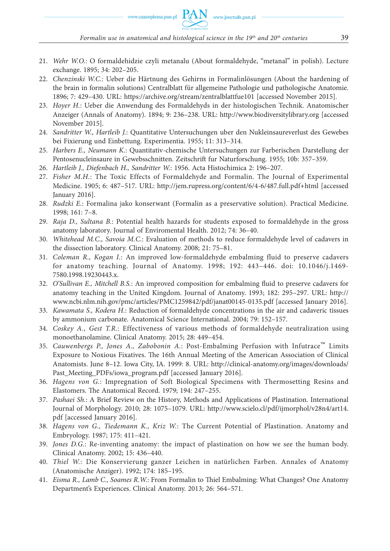- 21. *Wehr W.O.*: O formaldehidzie czyli metanalu (About formaldehyde, "metanal" in polish). Lecture exchange. 1895; 34: 202–205.
- 22. *Chenzinski W.C.*: Ueber die Härtnung des Gehirns in Formalinlösungen (About the hardening of the brain in formalin solutions) Centralblatt für allgemeine Pathologie und pathologische Anatomie. 1896; 7: 429–430. URL: https://archive.org/stream/zentralblattfue101 [accessed November 2015].
- 23. *Hoyer H.*: Ueber die Anwendung des Formaldehyds in der histologischen Technik. Anatomischer Anzeiger (Annals of Anatomy). 1894; 9: 236–238. URL: http://www.biodiversitylibrary.org [accessed November 2015].
- 24. *Sandritter W., Hartleib J.*: Quantitative Untersuchungen uber den Nukleinsaureverlust des Gewebes bei Fixierung und Einbettung. Experimentia. 1955; 11: 313–314.
- 25. *Harbers E., Neumann K.*: Quantitativ-chemische Untersuchungen zur Farberischen Darstellung der Pentosenucleinsaure in Gewebsschnitten. Zeitschrift fur Naturforschung. 1955; 10b: 357–359.
- 26. *Hartleib J., Diefenbach H., Sandritter W.*: 1956. Acta Histochimica 2: 196–207.
- 27. *Fisher M.H.*: The Toxic Effects of Formaldehyde and Formalin. The Journal of Experimental Medicine. 1905; 6: 487–517. URL: http://jem.rupress.org/content/6/4-6/487.full.pdf+html [accessed January 2016].
- 28. *Rudzki E.*: Formalina jako konserwant (Formalin as a preservative solution). Practical Medicine. 1998; 161: 7–8.
- 29. *Raja D., Sultana B.*: Potential health hazards for students exposed to formaldehyde in the gross anatomy laboratory. Journal of Enviromental Health. 2012; 74: 36–40.
- 30. *Whitehead M.C., Savoia M.C.*: Evaluation of methods to reduce formaldehyde level of cadavers in the dissection laboratory. Clinical Anatomy. 2008; 21: 75–81.
- 31. *Coleman R., Kogan I.*: An improved low-formaldehyde embalming fluid to preserve cadavers for anatomy teaching. Journal of Anatomy. 1998; 192: 443–446. doi: 10.1046/j.1469- 7580.1998.19230443.x.
- 32. *O'Sullivan E., Mitchell B.S.*: An improved composition for embalming fluid to preserve cadavers for anatomy teaching in the United Kingdom. Journal of Anatomy. 1993; 182: 295–297. URL: http:// www.ncbi.nlm.nih.gov/pmc/articles/PMC1259842/pdf/janat00145-0135.pdf [accessed January 2016].
- 33. *Kawamata S., Kodera H.*: Reduction of formaldehyde concentrations in the air and cadaveric tissues by ammonium carbonate. Anatomical Science International. 2004; 79: 152–157.
- 34. *Coskey A., Gest T.R.*: Effectiveness of various methods of formaldehyde neutralization using monoethanolamine. Clinical Anatomy. 2015; 28: 449–454.
- 35. *Cauwenbergs P., Jones A., Zabobonin A.*: Post-Embalming Perfusion with Infutrace™ Limits Exposure to Noxious Fixatives. The 16th Annual Meeting of the American Association of Clinical Anatomists. June 8–12. Iowa City, IA. 1999: 8. URL: http://clinical-anatomy.org/images/downloads/ Past\_Meeting\_PDFs/iowa\_program.pdf [accessed January 2016].
- 36. *Hagens von G.*: Impregnation of Soft Biological Specimens with Thermosetting Resins and Elastomers. The Anatomical Record. 1979; 194: 247-255.
- 37. *Pashaei Sh.*: A Brief Review on the History, Methods and Applications of Plastination. International Journal of Morphology. 2010; 28: 1075–1079. URL: http://www.scielo.cl/pdf/ijmorphol/v28n4/art14. pdf [accessed January 2016].
- 38. *Hagens von G., Tiedemann K., Kriz W.*: The Current Potential of Plastination. Anatomy and Embryology. 1987; 175: 411–421.
- 39. *Jones D.G.*: Re-inventing anatomy: the impact of plastination on how we see the human body. Clinical Anatomy. 2002; 15: 436–440.
- 40. *Thiel W.*: Die Konservierung ganzer Leichen in natürlichen Farben. Annales of Anatomy (Anatomische Anziger). 1992; 174: 185–195.
- 41. *Eisma R., Lamb C., Soames R.W.*: From Formalin to Thiel Embalming: What Changes? One Anatomy Department's Experiences. Clinical Anatomy. 2013; 26: 564–571.